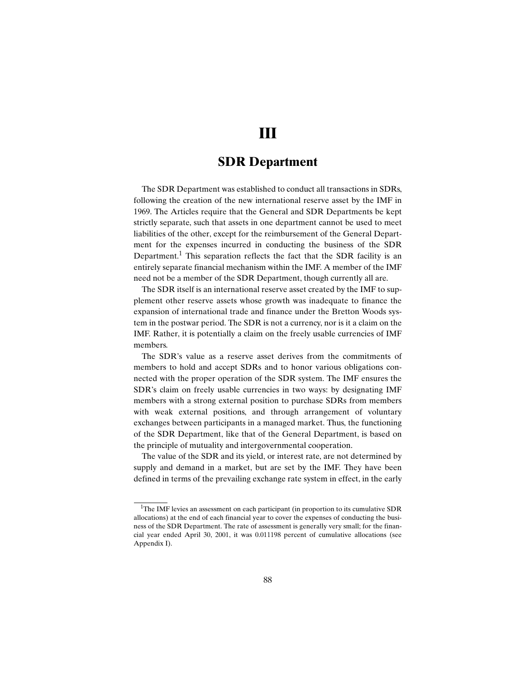# **III**

# **SDR Department**

The SDR Department was established to conduct all transactions in SDRs, following the creation of the new international reserve asset by the IMF in 1969. The Articles require that the General and SDR Departments be kept strictly separate, such that assets in one department cannot be used to meet liabilities of the other, except for the reimbursement of the General Department for the expenses incurred in conducting the business of the SDR Department.<sup>1</sup> This separation reflects the fact that the SDR facility is an entirely separate financial mechanism within the IMF. A member of the IMF need not be a member of the SDR Department, though currently all are.

The SDR itself is an international reserve asset created by the IMF to supplement other reserve assets whose growth was inadequate to finance the expansion of international trade and finance under the Bretton Woods system in the postwar period. The SDR is not a currency, nor is it a claim on the IMF. Rather, it is potentially a claim on the freely usable currencies of IMF members.

The SDR's value as a reserve asset derives from the commitments of members to hold and accept SDRs and to honor various obligations connected with the proper operation of the SDR system. The IMF ensures the SDR's claim on freely usable currencies in two ways: by designating IMF members with a strong external position to purchase SDRs from members with weak external positions, and through arrangement of voluntary exchanges between participants in a managed market. Thus, the functioning of the SDR Department, like that of the General Department, is based on the principle of mutuality and intergovernmental cooperation.

The value of the SDR and its yield, or interest rate, are not determined by supply and demand in a market, but are set by the IMF. They have been defined in terms of the prevailing exchange rate system in effect, in the early

<sup>&</sup>lt;sup>1</sup>The IMF levies an assessment on each participant (in proportion to its cumulative SDR allocations) at the end of each financial year to cover the expenses of conducting the business of the SDR Department. The rate of assessment is generally very small; for the financial year ended April 30, 2001, it was 0.011198 percent of cumulative allocations (see Appendix I).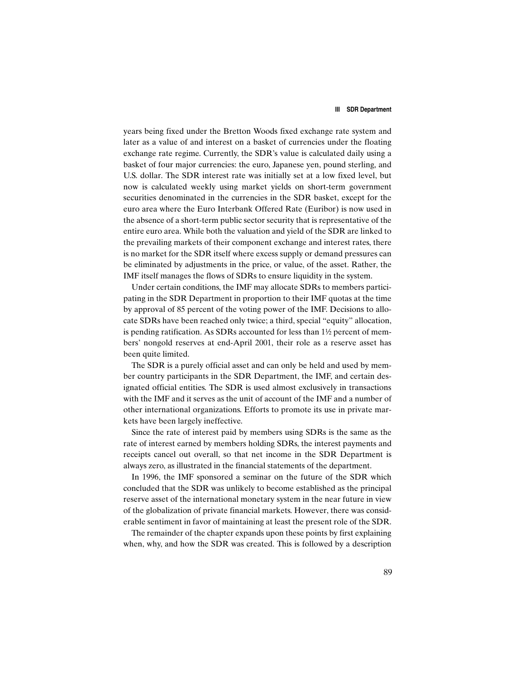years being fixed under the Bretton Woods fixed exchange rate system and later as a value of and interest on a basket of currencies under the floating exchange rate regime. Currently, the SDR's value is calculated daily using a basket of four major currencies: the euro, Japanese yen, pound sterling, and U.S. dollar. The SDR interest rate was initially set at a low fixed level, but now is calculated weekly using market yields on short-term government securities denominated in the currencies in the SDR basket, except for the euro area where the Euro Interbank Offered Rate (Euribor) is now used in the absence of a short-term public sector security that is representative of the entire euro area. While both the valuation and yield of the SDR are linked to the prevailing markets of their component exchange and interest rates, there is no market for the SDR itself where excess supply or demand pressures can be eliminated by adjustments in the price, or value, of the asset. Rather, the IMF itself manages the flows of SDRs to ensure liquidity in the system.

Under certain conditions, the IMF may allocate SDRs to members participating in the SDR Department in proportion to their IMF quotas at the time by approval of 85 percent of the voting power of the IMF. Decisions to allocate SDRs have been reached only twice; a third, special "equity" allocation, is pending ratification. As SDRs accounted for less than 1½ percent of members' nongold reserves at end-April 2001, their role as a reserve asset has been quite limited.

The SDR is a purely official asset and can only be held and used by member country participants in the SDR Department, the IMF, and certain designated official entities. The SDR is used almost exclusively in transactions with the IMF and it serves as the unit of account of the IMF and a number of other international organizations. Efforts to promote its use in private markets have been largely ineffective.

Since the rate of interest paid by members using SDRs is the same as the rate of interest earned by members holding SDRs, the interest payments and receipts cancel out overall, so that net income in the SDR Department is always zero, as illustrated in the financial statements of the department.

In 1996, the IMF sponsored a seminar on the future of the SDR which concluded that the SDR was unlikely to become established as the principal reserve asset of the international monetary system in the near future in view of the globalization of private financial markets. However, there was considerable sentiment in favor of maintaining at least the present role of the SDR.

The remainder of the chapter expands upon these points by first explaining when, why, and how the SDR was created. This is followed by a description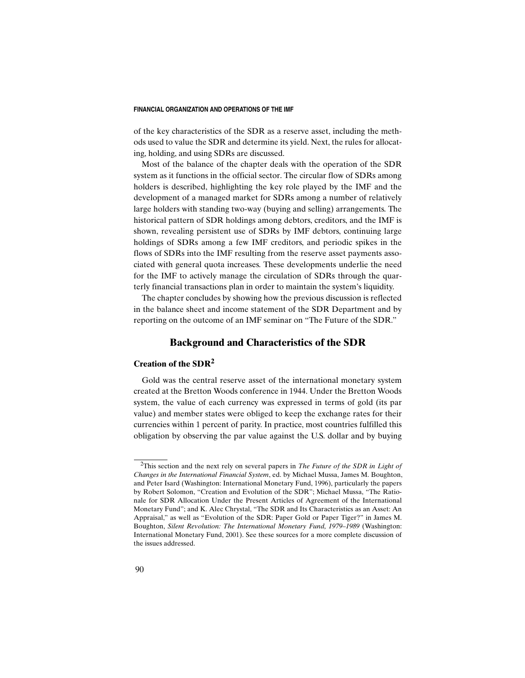of the key characteristics of the SDR as a reserve asset, including the methods used to value the SDR and determine its yield. Next, the rules for allocating, holding, and using SDRs are discussed.

Most of the balance of the chapter deals with the operation of the SDR system as it functions in the official sector. The circular flow of SDRs among holders is described, highlighting the key role played by the IMF and the development of a managed market for SDRs among a number of relatively large holders with standing two-way (buying and selling) arrangements. The historical pattern of SDR holdings among debtors, creditors, and the IMF is shown, revealing persistent use of SDRs by IMF debtors, continuing large holdings of SDRs among a few IMF creditors, and periodic spikes in the flows of SDRs into the IMF resulting from the reserve asset payments associated with general quota increases. These developments underlie the need for the IMF to actively manage the circulation of SDRs through the quarterly financial transactions plan in order to maintain the system's liquidity.

The chapter concludes by showing how the previous discussion is reflected in the balance sheet and income statement of the SDR Department and by reporting on the outcome of an IMF seminar on "The Future of the SDR."

# **Background and Characteristics of the SDR**

# **Creation of the SDR<sup>2</sup>**

Gold was the central reserve asset of the international monetary system created at the Bretton Woods conference in 1944. Under the Bretton Woods system, the value of each currency was expressed in terms of gold (its par value) and member states were obliged to keep the exchange rates for their currencies within 1 percent of parity. In practice, most countries fulfilled this obligation by observing the par value against the U.S. dollar and by buying

<sup>2</sup>This section and the next rely on several papers in *The Future of the SDR in Light of Changes in the International Financial System*, ed. by Michael Mussa, James M. Boughton, and Peter Isard (Washington: International Monetary Fund, 1996), particularly the papers by Robert Solomon, "Creation and Evolution of the SDR"; Michael Mussa, "The Rationale for SDR Allocation Under the Present Articles of Agreement of the International Monetary Fund"; and K. Alec Chrystal, "The SDR and Its Characteristics as an Asset: An Appraisal," as well as "Evolution of the SDR: Paper Gold or Paper Tiger?" in James M. Boughton, *Silent Revolution: The International Monetary Fund, 1979–1989* (Washington: International Monetary Fund, 2001). See these sources for a more complete discussion of the issues addressed.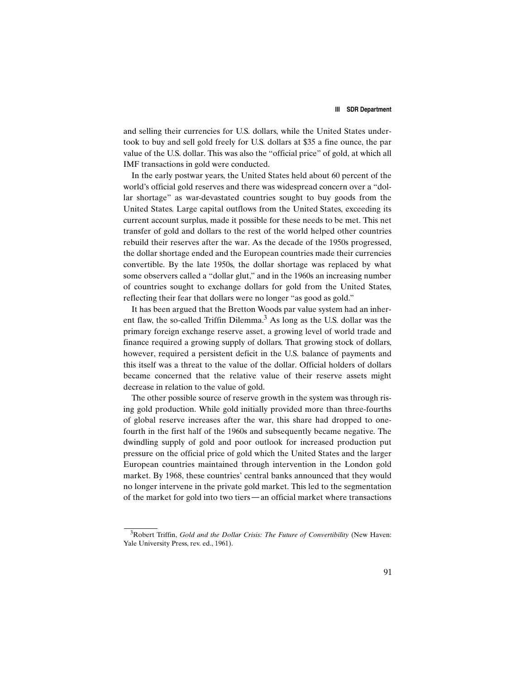and selling their currencies for U.S. dollars, while the United States undertook to buy and sell gold freely for U.S. dollars at \$35 a fine ounce, the par value of the U.S. dollar. This was also the "official price" of gold, at which all IMF transactions in gold were conducted.

In the early postwar years, the United States held about 60 percent of the world's official gold reserves and there was widespread concern over a "dollar shortage" as war-devastated countries sought to buy goods from the United States. Large capital outflows from the United States, exceeding its current account surplus, made it possible for these needs to be met. This net transfer of gold and dollars to the rest of the world helped other countries rebuild their reserves after the war. As the decade of the 1950s progressed, the dollar shortage ended and the European countries made their currencies convertible. By the late 1950s, the dollar shortage was replaced by what some observers called a "dollar glut," and in the 1960s an increasing number of countries sought to exchange dollars for gold from the United States, reflecting their fear that dollars were no longer "as good as gold."

It has been argued that the Bretton Woods par value system had an inherent flaw, the so-called Triffin Dilemma.<sup>3</sup> As long as the U.S. dollar was the primary foreign exchange reserve asset, a growing level of world trade and finance required a growing supply of dollars. That growing stock of dollars, however, required a persistent deficit in the U.S. balance of payments and this itself was a threat to the value of the dollar. Official holders of dollars became concerned that the relative value of their reserve assets might decrease in relation to the value of gold.

The other possible source of reserve growth in the system was through rising gold production. While gold initially provided more than three-fourths of global reserve increases after the war, this share had dropped to onefourth in the first half of the 1960s and subsequently became negative. The dwindling supply of gold and poor outlook for increased production put pressure on the official price of gold which the United States and the larger European countries maintained through intervention in the London gold market. By 1968, these countries' central banks announced that they would no longer intervene in the private gold market. This led to the segmentation of the market for gold into two tiers—an official market where transactions

<sup>3</sup>Robert Triffin, *Gold and the Dollar Crisis: The Future of Convertibility* (New Haven: Yale University Press, rev. ed., 1961).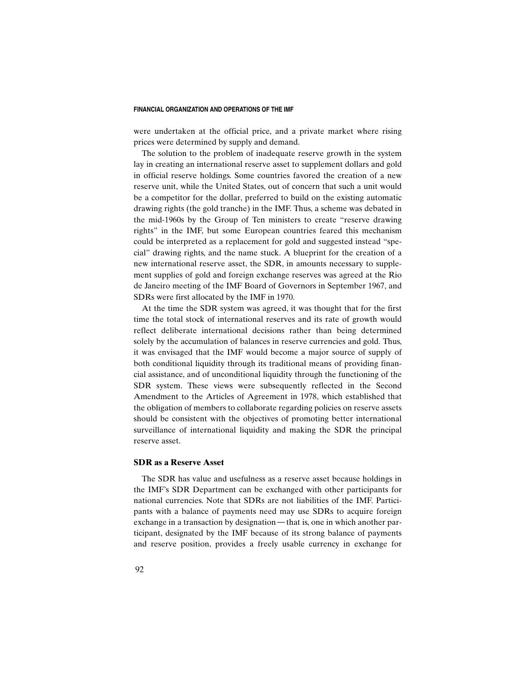were undertaken at the official price, and a private market where rising prices were determined by supply and demand.

The solution to the problem of inadequate reserve growth in the system lay in creating an international reserve asset to supplement dollars and gold in official reserve holdings. Some countries favored the creation of a new reserve unit, while the United States, out of concern that such a unit would be a competitor for the dollar, preferred to build on the existing automatic drawing rights (the gold tranche) in the IMF. Thus, a scheme was debated in the mid-1960s by the Group of Ten ministers to create "reserve drawing rights" in the IMF, but some European countries feared this mechanism could be interpreted as a replacement for gold and suggested instead "special" drawing rights, and the name stuck. A blueprint for the creation of a new international reserve asset, the SDR, in amounts necessary to supplement supplies of gold and foreign exchange reserves was agreed at the Rio de Janeiro meeting of the IMF Board of Governors in September 1967, and SDRs were first allocated by the IMF in 1970.

At the time the SDR system was agreed, it was thought that for the first time the total stock of international reserves and its rate of growth would reflect deliberate international decisions rather than being determined solely by the accumulation of balances in reserve currencies and gold. Thus, it was envisaged that the IMF would become a major source of supply of both conditional liquidity through its traditional means of providing financial assistance, and of unconditional liquidity through the functioning of the SDR system. These views were subsequently reflected in the Second Amendment to the Articles of Agreement in 1978, which established that the obligation of members to collaborate regarding policies on reserve assets should be consistent with the objectives of promoting better international surveillance of international liquidity and making the SDR the principal reserve asset.

### **SDR as a Reserve Asset**

The SDR has value and usefulness as a reserve asset because holdings in the IMF's SDR Department can be exchanged with other participants for national currencies. Note that SDRs are not liabilities of the IMF. Participants with a balance of payments need may use SDRs to acquire foreign exchange in a transaction by designation—that is, one in which another participant, designated by the IMF because of its strong balance of payments and reserve position, provides a freely usable currency in exchange for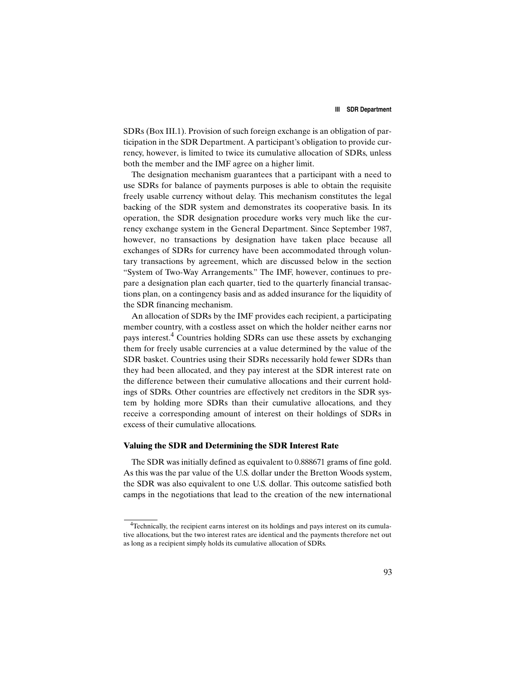SDRs (Box III.1). Provision of such foreign exchange is an obligation of participation in the SDR Department. A participant's obligation to provide currency, however, is limited to twice its cumulative allocation of SDRs, unless both the member and the IMF agree on a higher limit.

The designation mechanism guarantees that a participant with a need to use SDRs for balance of payments purposes is able to obtain the requisite freely usable currency without delay. This mechanism constitutes the legal backing of the SDR system and demonstrates its cooperative basis. In its operation, the SDR designation procedure works very much like the currency exchange system in the General Department. Since September 1987, however, no transactions by designation have taken place because all exchanges of SDRs for currency have been accommodated through voluntary transactions by agreement, which are discussed below in the section "System of Two-Way Arrangements." The IMF, however, continues to prepare a designation plan each quarter, tied to the quarterly financial transactions plan, on a contingency basis and as added insurance for the liquidity of the SDR financing mechanism.

An allocation of SDRs by the IMF provides each recipient, a participating member country, with a costless asset on which the holder neither earns nor pays interest.<sup>4</sup> Countries holding SDRs can use these assets by exchanging them for freely usable currencies at a value determined by the value of the SDR basket. Countries using their SDRs necessarily hold fewer SDRs than they had been allocated, and they pay interest at the SDR interest rate on the difference between their cumulative allocations and their current holdings of SDRs. Other countries are effectively net creditors in the SDR system by holding more SDRs than their cumulative allocations, and they receive a corresponding amount of interest on their holdings of SDRs in excess of their cumulative allocations.

#### **Valuing the SDR and Determining the SDR Interest Rate**

The SDR was initially defined as equivalent to 0.888671 grams of fine gold. As this was the par value of the U.S. dollar under the Bretton Woods system, the SDR was also equivalent to one U.S. dollar. This outcome satisfied both camps in the negotiations that lead to the creation of the new international

<sup>&</sup>lt;sup>4</sup>Technically, the recipient earns interest on its holdings and pays interest on its cumulative allocations, but the two interest rates are identical and the payments therefore net out as long as a recipient simply holds its cumulative allocation of SDRs.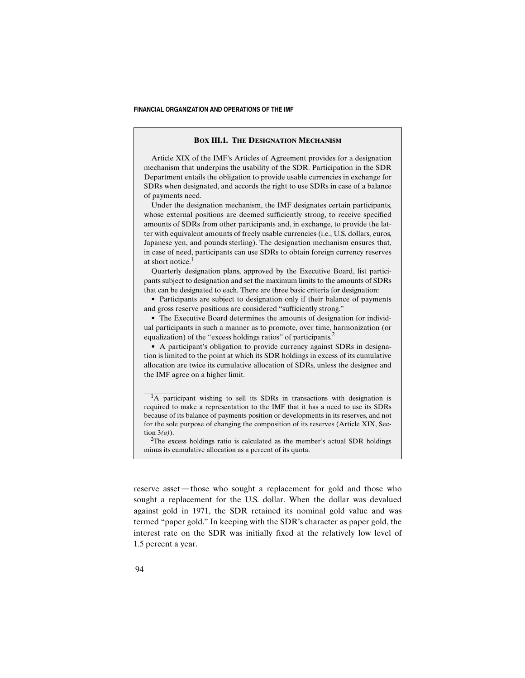# **BOX III.1. THE DESIGNATION MECHANISM**

Article XIX of the IMF's Articles of Agreement provides for a designation mechanism that underpins the usability of the SDR. Participation in the SDR Department entails the obligation to provide usable currencies in exchange for SDRs when designated, and accords the right to use SDRs in case of a balance of payments need.

Under the designation mechanism, the IMF designates certain participants, whose external positions are deemed sufficiently strong, to receive specified amounts of SDRs from other participants and, in exchange, to provide the latter with equivalent amounts of freely usable currencies (i.e., U.S. dollars, euros, Japanese yen, and pounds sterling). The designation mechanism ensures that, in case of need, participants can use SDRs to obtain foreign currency reserves at short notice.<sup>1</sup>

Quarterly designation plans, approved by the Executive Board, list participants subject to designation and set the maximum limits to the amounts of SDRs that can be designated to each. There are three basic criteria for designation:

• Participants are subject to designation only if their balance of payments and gross reserve positions are considered "sufficiently strong."

• The Executive Board determines the amounts of designation for individual participants in such a manner as to promote, over time, harmonization (or equalization) of the "excess holdings ratios" of participants.<sup>2</sup>

• A participant's obligation to provide currency against SDRs in designation is limited to the point at which its SDR holdings in excess of its cumulative allocation are twice its cumulative allocation of SDRs, unless the designee and the IMF agree on a higher limit.

reserve asset—those who sought a replacement for gold and those who sought a replacement for the U.S. dollar. When the dollar was devalued against gold in 1971, the SDR retained its nominal gold value and was termed "paper gold." In keeping with the SDR's character as paper gold, the interest rate on the SDR was initially fixed at the relatively low level of 1.5 percent a year.

 ${}^{1}$ A participant wishing to sell its SDRs in transactions with designation is required to make a representation to the IMF that it has a need to use its SDRs because of its balance of payments position or developments in its reserves, and not for the sole purpose of changing the composition of its reserves (Article XIX, Section  $3(a)$ ). <sup>2</sup>The excess holdings ratio is calculated as the member's actual SDR holdings

minus its cumulative allocation as a percent of its quota.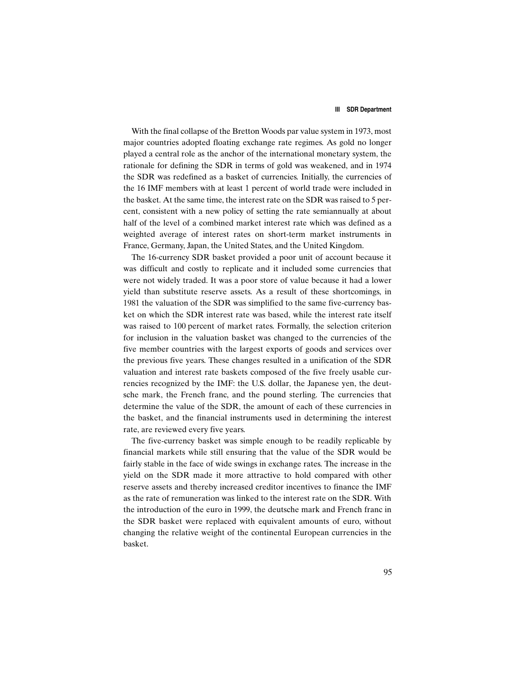With the final collapse of the Bretton Woods par value system in 1973, most major countries adopted floating exchange rate regimes. As gold no longer played a central role as the anchor of the international monetary system, the rationale for defining the SDR in terms of gold was weakened, and in 1974 the SDR was redefined as a basket of currencies. Initially, the currencies of the 16 IMF members with at least 1 percent of world trade were included in the basket. At the same time, the interest rate on the SDR was raised to 5 percent, consistent with a new policy of setting the rate semiannually at about half of the level of a combined market interest rate which was defined as a weighted average of interest rates on short-term market instruments in France, Germany, Japan, the United States, and the United Kingdom.

The 16-currency SDR basket provided a poor unit of account because it was difficult and costly to replicate and it included some currencies that were not widely traded. It was a poor store of value because it had a lower yield than substitute reserve assets. As a result of these shortcomings, in 1981 the valuation of the SDR was simplified to the same five-currency basket on which the SDR interest rate was based, while the interest rate itself was raised to 100 percent of market rates. Formally, the selection criterion for inclusion in the valuation basket was changed to the currencies of the five member countries with the largest exports of goods and services over the previous five years. These changes resulted in a unification of the SDR valuation and interest rate baskets composed of the five freely usable currencies recognized by the IMF: the U.S. dollar, the Japanese yen, the deutsche mark, the French franc, and the pound sterling. The currencies that determine the value of the SDR, the amount of each of these currencies in the basket, and the financial instruments used in determining the interest rate, are reviewed every five years.

The five-currency basket was simple enough to be readily replicable by financial markets while still ensuring that the value of the SDR would be fairly stable in the face of wide swings in exchange rates. The increase in the yield on the SDR made it more attractive to hold compared with other reserve assets and thereby increased creditor incentives to finance the IMF as the rate of remuneration was linked to the interest rate on the SDR. With the introduction of the euro in 1999, the deutsche mark and French franc in the SDR basket were replaced with equivalent amounts of euro, without changing the relative weight of the continental European currencies in the basket.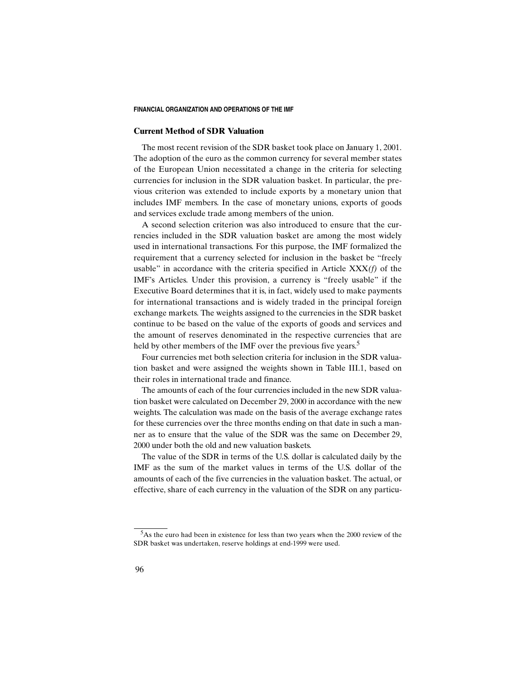# **Current Method of SDR Valuation**

The most recent revision of the SDR basket took place on January 1, 2001. The adoption of the euro as the common currency for several member states of the European Union necessitated a change in the criteria for selecting currencies for inclusion in the SDR valuation basket. In particular, the previous criterion was extended to include exports by a monetary union that includes IMF members. In the case of monetary unions, exports of goods and services exclude trade among members of the union.

A second selection criterion was also introduced to ensure that the currencies included in the SDR valuation basket are among the most widely used in international transactions. For this purpose, the IMF formalized the requirement that a currency selected for inclusion in the basket be "freely usable" in accordance with the criteria specified in Article XXX*(f)* of the IMF's Articles. Under this provision, a currency is "freely usable" if the Executive Board determines that it is, in fact, widely used to make payments for international transactions and is widely traded in the principal foreign exchange markets. The weights assigned to the currencies in the SDR basket continue to be based on the value of the exports of goods and services and the amount of reserves denominated in the respective currencies that are held by other members of the IMF over the previous five years.<sup>5</sup>

Four currencies met both selection criteria for inclusion in the SDR valuation basket and were assigned the weights shown in Table III.1, based on their roles in international trade and finance.

The amounts of each of the four currencies included in the new SDR valuation basket were calculated on December 29, 2000 in accordance with the new weights. The calculation was made on the basis of the average exchange rates for these currencies over the three months ending on that date in such a manner as to ensure that the value of the SDR was the same on December 29, 2000 under both the old and new valuation baskets.

The value of the SDR in terms of the U.S. dollar is calculated daily by the IMF as the sum of the market values in terms of the U.S. dollar of the amounts of each of the five currencies in the valuation basket. The actual, or effective, share of each currency in the valuation of the SDR on any particu-

 $5$ As the euro had been in existence for less than two years when the 2000 review of the SDR basket was undertaken, reserve holdings at end-1999 were used.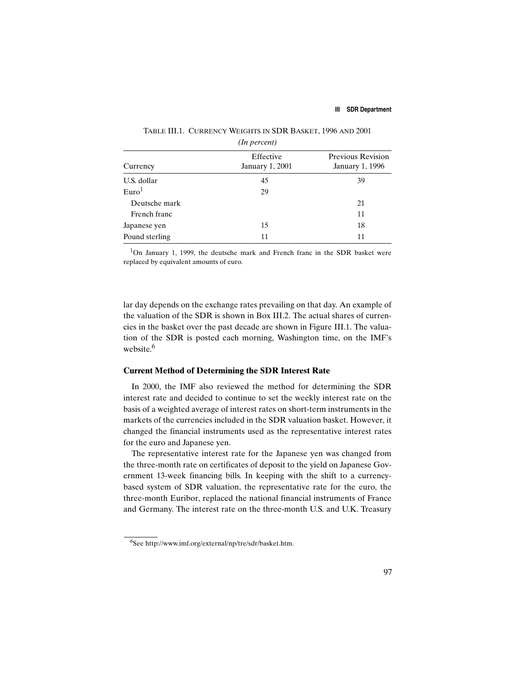| Currency          | Effective<br><b>January 1, 2001</b> | <b>Previous Revision</b><br><b>January 1, 1996</b> |  |  |
|-------------------|-------------------------------------|----------------------------------------------------|--|--|
| U.S. dollar       | 45                                  | 39                                                 |  |  |
| Euro <sup>1</sup> | 29                                  |                                                    |  |  |
| Deutsche mark     |                                     | 21                                                 |  |  |
| French franc      |                                     | 11                                                 |  |  |
| Japanese yen      | 15                                  | 18                                                 |  |  |
| Pound sterling    | 11                                  | 11                                                 |  |  |
|                   |                                     |                                                    |  |  |

TABLE III.1. CURRENCY WEIGHTS IN SDR BASKET, 1996 AND 2001 *(In percent)*

 $1$ On January 1, 1999, the deutsche mark and French franc in the SDR basket were replaced by equivalent amounts of euro.

lar day depends on the exchange rates prevailing on that day. An example of the valuation of the SDR is shown in Box III.2. The actual shares of currencies in the basket over the past decade are shown in Figure III.1. The valuation of the SDR is posted each morning, Washington time, on the IMF's website  $6$ 

### **Current Method of Determining the SDR Interest Rate**

In 2000, the IMF also reviewed the method for determining the SDR interest rate and decided to continue to set the weekly interest rate on the basis of a weighted average of interest rates on short-term instruments in the markets of the currencies included in the SDR valuation basket. However, it changed the financial instruments used as the representative interest rates for the euro and Japanese yen.

The representative interest rate for the Japanese yen was changed from the three-month rate on certificates of deposit to the yield on Japanese Government 13-week financing bills. In keeping with the shift to a currencybased system of SDR valuation, the representative rate for the euro, the three-month Euribor, replaced the national financial instruments of France and Germany. The interest rate on the three-month U.S. and U.K. Treasury

<sup>6</sup>See http://www.imf.org/external/np/tre/sdr/basket.htm.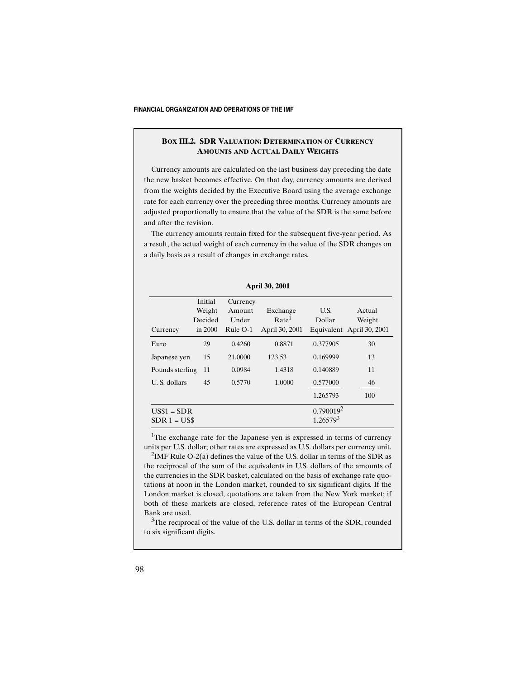# **BOX III.2. SDR VALUATION: DETERMINATION OF CURRENCY AMOUNTS AND ACTUAL DAILY WEIGHTS**

Currency amounts are calculated on the last business day preceding the date the new basket becomes effective. On that day, currency amounts are derived from the weights decided by the Executive Board using the average exchange rate for each currency over the preceding three months. Currency amounts are adjusted proportionally to ensure that the value of the SDR is the same before and after the revision.

The currency amounts remain fixed for the subsequent five-year period. As a result, the actual weight of each currency in the value of the SDR changes on a daily basis as a result of changes in exchange rates.

| Currency                      | Initial<br>Weight<br>Decided<br>in 2000 | Currency<br>Amount<br><b>Under</b><br>Rule $O-1$ | Exchange<br>Rate <sup>1</sup><br>April 30, 2001 | U.S.<br>Dollar                                | Actual<br>Weight<br>Equivalent April 30, 2001 |
|-------------------------------|-----------------------------------------|--------------------------------------------------|-------------------------------------------------|-----------------------------------------------|-----------------------------------------------|
| Euro                          | 29                                      | 0.4260                                           | 0.8871                                          | 0.377905                                      | 30                                            |
| Japanese yen                  | 15                                      | 21,0000                                          | 123.53                                          | 0.169999                                      | 13                                            |
| Pounds sterling               | 11                                      | 0.0984                                           | 1.4318                                          | 0.140889                                      | 11                                            |
| U.S. dollars                  | 45                                      | 0.5770                                           | 1.0000                                          | 0.577000                                      | 46                                            |
|                               |                                         |                                                  |                                                 | 1.265793                                      | 100                                           |
| $USS1 = SDR$<br>$SDR 1 = US$$ |                                         |                                                  |                                                 | 0.790019 <sup>2</sup><br>1.26579 <sup>3</sup> |                                               |

| April 30, 2001 |  |
|----------------|--|
|                |  |

<sup>1</sup>The exchange rate for the Japanese yen is expressed in terms of currency units per U.S. dollar; other rates are expressed as U.S. dollars per currency unit.

<sup>2</sup>IMF Rule O-2(a) defines the value of the U.S. dollar in terms of the SDR as the reciprocal of the sum of the equivalents in U.S. dollars of the amounts of the currencies in the SDR basket, calculated on the basis of exchange rate quotations at noon in the London market, rounded to six significant digits. If the London market is closed, quotations are taken from the New York market; if both of these markets are closed, reference rates of the European Central Bank are used.

 $3$ The reciprocal of the value of the U.S. dollar in terms of the SDR, rounded to six significant digits.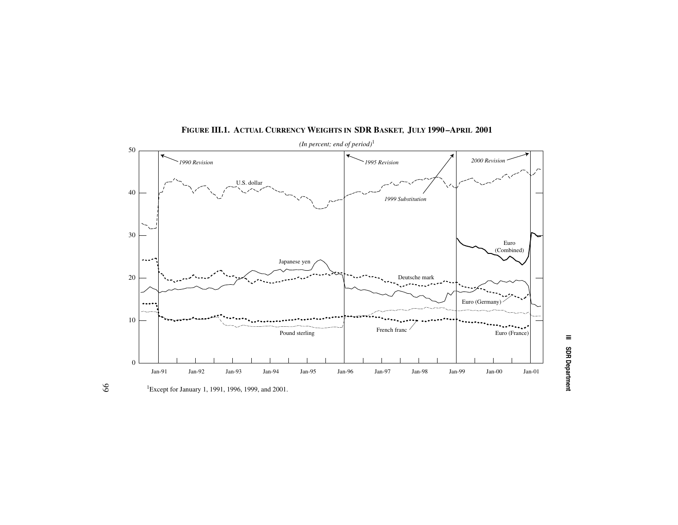

# **FIGURE III.1. ACTUAL CURRENCY WEIGHTS IN SDR BASKET, JULY 1990–APRIL 2001**

1Except for January 1, 1991, 1996, 1999, and 2001.

 $\equiv$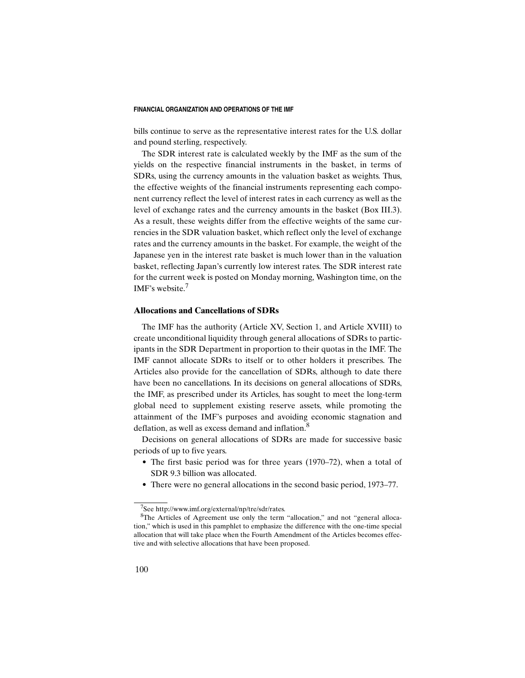bills continue to serve as the representative interest rates for the U.S. dollar and pound sterling, respectively.

The SDR interest rate is calculated weekly by the IMF as the sum of the yields on the respective financial instruments in the basket, in terms of SDRs, using the currency amounts in the valuation basket as weights. Thus, the effective weights of the financial instruments representing each component currency reflect the level of interest rates in each currency as well as the level of exchange rates and the currency amounts in the basket (Box III.3). As a result, these weights differ from the effective weights of the same currencies in the SDR valuation basket, which reflect only the level of exchange rates and the currency amounts in the basket. For example, the weight of the Japanese yen in the interest rate basket is much lower than in the valuation basket, reflecting Japan's currently low interest rates. The SDR interest rate for the current week is posted on Monday morning, Washington time, on the IMF's website.<sup>7</sup>

#### **Allocations and Cancellations of SDRs**

The IMF has the authority (Article XV, Section 1, and Article XVIII) to create unconditional liquidity through general allocations of SDRs to participants in the SDR Department in proportion to their quotas in the IMF. The IMF cannot allocate SDRs to itself or to other holders it prescribes. The Articles also provide for the cancellation of SDRs, although to date there have been no cancellations. In its decisions on general allocations of SDRs, the IMF, as prescribed under its Articles, has sought to meet the long-term global need to supplement existing reserve assets, while promoting the attainment of the IMF's purposes and avoiding economic stagnation and deflation, as well as excess demand and inflation.<sup>8</sup>

Decisions on general allocations of SDRs are made for successive basic periods of up to five years.

- The first basic period was for three years (1970–72), when a total of SDR 9.3 billion was allocated.
- There were no general allocations in the second basic period, 1973–77.

<sup>7</sup>See http://www.imf.org/external/np/tre/sdr/rates.

<sup>8</sup>The Articles of Agreement use only the term "allocation," and not "general allocation," which is used in this pamphlet to emphasize the difference with the one-time special allocation that will take place when the Fourth Amendment of the Articles becomes effective and with selective allocations that have been proposed.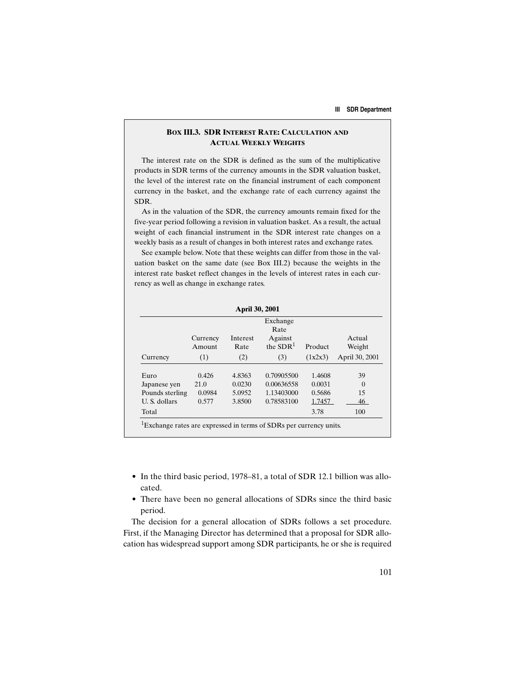# **BOX III.3. SDR INTEREST RATE: CALCULATION AND ACTUAL WEEKLY WEIGHTS**

The interest rate on the SDR is defined as the sum of the multiplicative products in SDR terms of the currency amounts in the SDR valuation basket, the level of the interest rate on the financial instrument of each component currency in the basket, and the exchange rate of each currency against the SDR.

As in the valuation of the SDR, the currency amounts remain fixed for the five-year period following a revision in valuation basket. As a result, the actual weight of each financial instrument in the SDR interest rate changes on a weekly basis as a result of changes in both interest rates and exchange rates.

See example below. Note that these weights can differ from those in the valuation basket on the same date (see Box III.2) because the weights in the interest rate basket reflect changes in the levels of interest rates in each currency as well as change in exchange rates.

| <b>April 30, 2001</b>                                                          |          |          |            |         |                |  |  |  |  |
|--------------------------------------------------------------------------------|----------|----------|------------|---------|----------------|--|--|--|--|
| Exchange                                                                       |          |          |            |         |                |  |  |  |  |
| Rate                                                                           |          |          |            |         |                |  |  |  |  |
|                                                                                | Currency | Interest | Against    |         | Actual         |  |  |  |  |
|                                                                                | Amount   | Rate     | the $SDR1$ | Product | Weight         |  |  |  |  |
| Currency                                                                       | (1)      | (2)      | (3)        | (1x2x3) | April 30, 2001 |  |  |  |  |
|                                                                                |          |          |            |         |                |  |  |  |  |
| Euro                                                                           | 0.426    | 4.8363   | 0.70905500 | 1.4608  | 39             |  |  |  |  |
| Japanese yen                                                                   | 21.0     | 0.0230   | 0.00636558 | 0.0031  | $\Omega$       |  |  |  |  |
| Pounds sterling                                                                | 0.0984   | 5.0952   | 1.13403000 | 0.5686  | 15             |  |  |  |  |
| U.S. dollars                                                                   | 0.577    | 3.8500   | 0.78583100 | 1.7457  | 46             |  |  |  |  |
| Total                                                                          |          |          |            | 3.78    | 100            |  |  |  |  |
| <sup>1</sup> Exchange rates are expressed in terms of SDRs per currency units. |          |          |            |         |                |  |  |  |  |

- In the third basic period, 1978–81, a total of SDR 12.1 billion was allocated.
- There have been no general allocations of SDRs since the third basic period.

The decision for a general allocation of SDRs follows a set procedure. First, if the Managing Director has determined that a proposal for SDR allocation has widespread support among SDR participants, he or she is required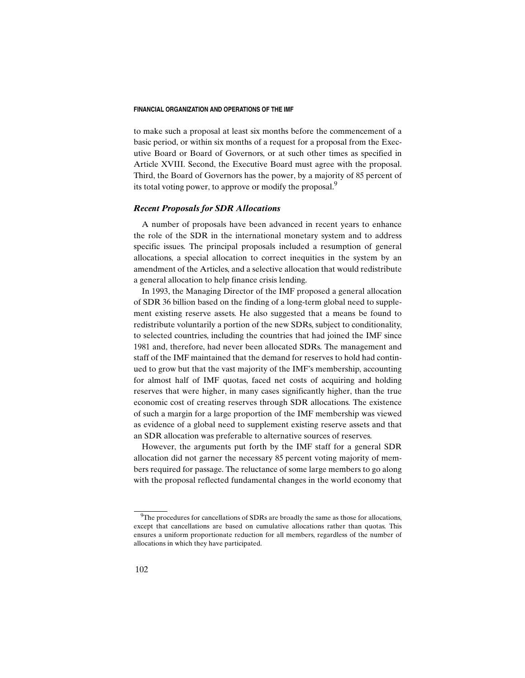to make such a proposal at least six months before the commencement of a basic period, or within six months of a request for a proposal from the Executive Board or Board of Governors, or at such other times as specified in Article XVIII. Second, the Executive Board must agree with the proposal. Third, the Board of Governors has the power, by a majority of 85 percent of its total voting power, to approve or modify the proposal.<sup>9</sup>

#### *Recent Proposals for SDR Allocations*

A number of proposals have been advanced in recent years to enhance the role of the SDR in the international monetary system and to address specific issues. The principal proposals included a resumption of general allocations, a special allocation to correct inequities in the system by an amendment of the Articles, and a selective allocation that would redistribute a general allocation to help finance crisis lending.

In 1993, the Managing Director of the IMF proposed a general allocation of SDR 36 billion based on the finding of a long-term global need to supplement existing reserve assets. He also suggested that a means be found to redistribute voluntarily a portion of the new SDRs, subject to conditionality, to selected countries, including the countries that had joined the IMF since 1981 and, therefore, had never been allocated SDRs. The management and staff of the IMF maintained that the demand for reserves to hold had continued to grow but that the vast majority of the IMF's membership, accounting for almost half of IMF quotas, faced net costs of acquiring and holding reserves that were higher, in many cases significantly higher, than the true economic cost of creating reserves through SDR allocations. The existence of such a margin for a large proportion of the IMF membership was viewed as evidence of a global need to supplement existing reserve assets and that an SDR allocation was preferable to alternative sources of reserves.

However, the arguments put forth by the IMF staff for a general SDR allocation did not garner the necessary 85 percent voting majority of members required for passage. The reluctance of some large members to go along with the proposal reflected fundamental changes in the world economy that

 $9<sup>9</sup>$ The procedures for cancellations of SDRs are broadly the same as those for allocations, except that cancellations are based on cumulative allocations rather than quotas. This ensures a uniform proportionate reduction for all members, regardless of the number of allocations in which they have participated.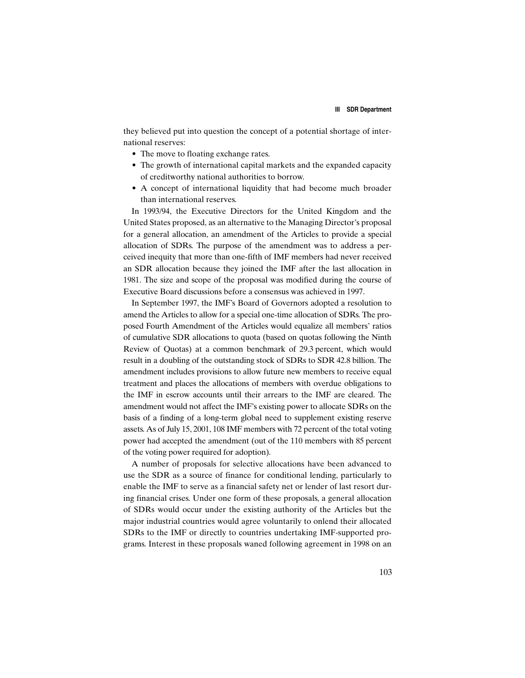they believed put into question the concept of a potential shortage of international reserves:

- The move to floating exchange rates.
- The growth of international capital markets and the expanded capacity of creditworthy national authorities to borrow.
- A concept of international liquidity that had become much broader than international reserves.

In 1993/94, the Executive Directors for the United Kingdom and the United States proposed, as an alternative to the Managing Director's proposal for a general allocation, an amendment of the Articles to provide a special allocation of SDRs. The purpose of the amendment was to address a perceived inequity that more than one-fifth of IMF members had never received an SDR allocation because they joined the IMF after the last allocation in 1981. The size and scope of the proposal was modified during the course of Executive Board discussions before a consensus was achieved in 1997.

In September 1997, the IMF's Board of Governors adopted a resolution to amend the Articles to allow for a special one-time allocation of SDRs. The proposed Fourth Amendment of the Articles would equalize all members' ratios of cumulative SDR allocations to quota (based on quotas following the Ninth Review of Quotas) at a common benchmark of 29.3 percent, which would result in a doubling of the outstanding stock of SDRs to SDR 42.8 billion. The amendment includes provisions to allow future new members to receive equal treatment and places the allocations of members with overdue obligations to the IMF in escrow accounts until their arrears to the IMF are cleared. The amendment would not affect the IMF's existing power to allocate SDRs on the basis of a finding of a long-term global need to supplement existing reserve assets. As of July 15, 2001, 108 IMF members with 72 percent of the total voting power had accepted the amendment (out of the 110 members with 85 percent of the voting power required for adoption).

A number of proposals for selective allocations have been advanced to use the SDR as a source of finance for conditional lending, particularly to enable the IMF to serve as a financial safety net or lender of last resort during financial crises. Under one form of these proposals, a general allocation of SDRs would occur under the existing authority of the Articles but the major industrial countries would agree voluntarily to onlend their allocated SDRs to the IMF or directly to countries undertaking IMF-supported programs. Interest in these proposals waned following agreement in 1998 on an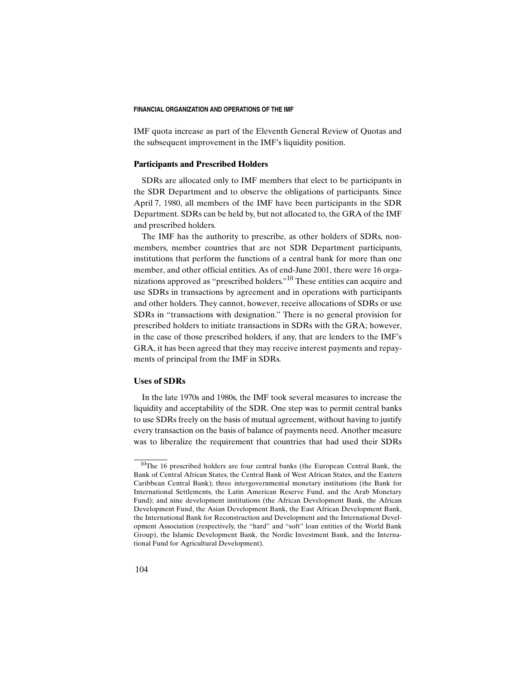IMF quota increase as part of the Eleventh General Review of Quotas and the subsequent improvement in the IMF's liquidity position.

### **Participants and Prescribed Holders**

SDRs are allocated only to IMF members that elect to be participants in the SDR Department and to observe the obligations of participants. Since April 7, 1980, all members of the IMF have been participants in the SDR Department. SDRs can be held by, but not allocated to, the GRA of the IMF and prescribed holders.

The IMF has the authority to prescribe, as other holders of SDRs, nonmembers, member countries that are not SDR Department participants, institutions that perform the functions of a central bank for more than one member, and other official entities. As of end-June 2001, there were 16 organizations approved as "prescribed holders."<sup>10</sup> These entities can acquire and use SDRs in transactions by agreement and in operations with participants and other holders. They cannot, however, receive allocations of SDRs or use SDRs in "transactions with designation." There is no general provision for prescribed holders to initiate transactions in SDRs with the GRA; however, in the case of those prescribed holders, if any, that are lenders to the IMF's GRA, it has been agreed that they may receive interest payments and repayments of principal from the IMF in SDRs.

#### **Uses of SDRs**

In the late 1970s and 1980s, the IMF took several measures to increase the liquidity and acceptability of the SDR. One step was to permit central banks to use SDRs freely on the basis of mutual agreement, without having to justify every transaction on the basis of balance of payments need. Another measure was to liberalize the requirement that countries that had used their SDRs

 $10$ The 16 prescribed holders are four central banks (the European Central Bank, the Bank of Central African States, the Central Bank of West African States, and the Eastern Caribbean Central Bank); three intergovernmental monetary institutions (the Bank for International Settlements, the Latin American Reserve Fund, and the Arab Monetary Fund); and nine development institutions (the African Development Bank, the African Development Fund, the Asian Development Bank, the East African Development Bank, the International Bank for Reconstruction and Development and the International Development Association (respectively, the "hard" and "soft" loan entities of the World Bank Group), the Islamic Development Bank, the Nordic Investment Bank, and the International Fund for Agricultural Development).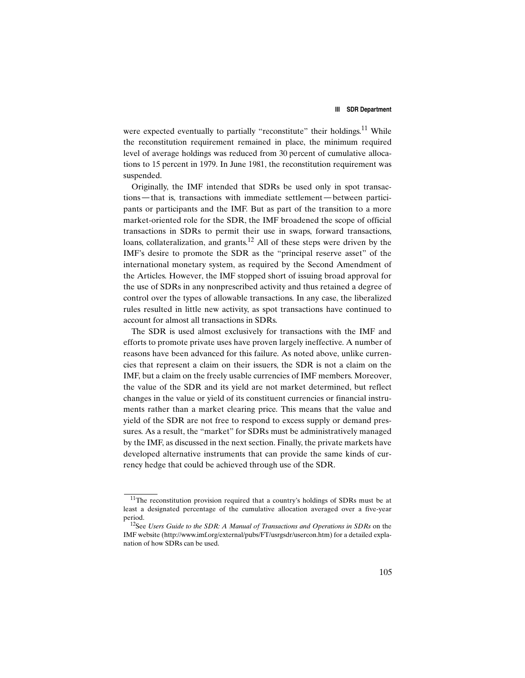were expected eventually to partially "reconstitute" their holdings.<sup>11</sup> While the reconstitution requirement remained in place, the minimum required level of average holdings was reduced from 30 percent of cumulative allocations to 15 percent in 1979. In June 1981, the reconstitution requirement was suspended.

Originally, the IMF intended that SDRs be used only in spot transactions—that is, transactions with immediate settlement—between participants or participants and the IMF. But as part of the transition to a more market-oriented role for the SDR, the IMF broadened the scope of official transactions in SDRs to permit their use in swaps, forward transactions, loans, collateralization, and grants.<sup>12</sup> All of these steps were driven by the IMF's desire to promote the SDR as the "principal reserve asset" of the international monetary system, as required by the Second Amendment of the Articles. However, the IMF stopped short of issuing broad approval for the use of SDRs in any nonprescribed activity and thus retained a degree of control over the types of allowable transactions. In any case, the liberalized rules resulted in little new activity, as spot transactions have continued to account for almost all transactions in SDRs.

The SDR is used almost exclusively for transactions with the IMF and efforts to promote private uses have proven largely ineffective. A number of reasons have been advanced for this failure. As noted above, unlike currencies that represent a claim on their issuers, the SDR is not a claim on the IMF, but a claim on the freely usable currencies of IMF members. Moreover, the value of the SDR and its yield are not market determined, but reflect changes in the value or yield of its constituent currencies or financial instruments rather than a market clearing price. This means that the value and yield of the SDR are not free to respond to excess supply or demand pressures. As a result, the "market" for SDRs must be administratively managed by the IMF, as discussed in the next section. Finally, the private markets have developed alternative instruments that can provide the same kinds of currency hedge that could be achieved through use of the SDR.

<sup>11</sup>The reconstitution provision required that a country's holdings of SDRs must be at least a designated percentage of the cumulative allocation averaged over a five-year period.

<sup>12</sup>See *Users Guide to the SDR: A Manual of Transactions and Operations in SDRs* on the IMF website (http://www.imf.org/external/pubs/FT/usrgsdr/usercon.htm) for a detailed explanation of how SDRs can be used.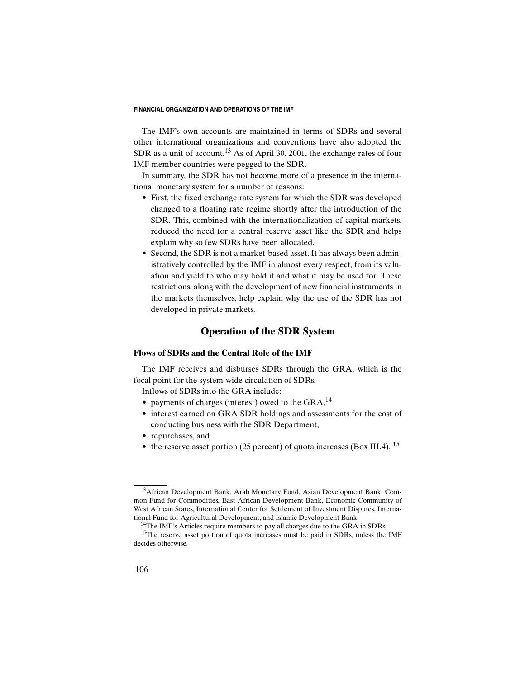The IMF's own accounts are maintained in terms of SDRs and several other international organizations and conventions have also adopted the SDR as a unit of account.<sup>13</sup> As of April 30, 2001, the exchange rates of four IMF member countries were pegged to the SDR.

In summary, the SDR has not become more of a presence in the international monetary system for a number of reasons:

- First, the fixed exchange rate system for which the SDR was developed changed to a floating rate regime shortly after the introduction of the SDR. This, combined with the internationalization of capital markets, reduced the need for a central reserve asset like the SDR and helps explain why so few SDRs have been allocated.
- Second, the SDR is not a market-based asset. It has always been administratively controlled by the IMF in almost every respect, from its valuation and yield to who may hold it and what it may be used for. These restrictions, along with the development of new financial instruments in the markets themselves, help explain why the use of the SDR has not developed in private markets.

# **Operation of the SDR System**

# **Flows of SDRs and the Central Role of the IMF**

The IMF receives and disburses SDRs through the GRA, which is the focal point for the system-wide circulation of SDRs.

Inflows of SDRs into the GRA include:

- payments of charges (interest) owed to the GRA,  $^{14}$
- interest earned on GRA SDR holdings and assessments for the cost of conducting business with the SDR Department,
- repurchases, and
- the reserve asset portion (25 percent) of quota increases (Box III.4). <sup>15</sup>

<sup>&</sup>lt;sup>13</sup>African Development Bank, Arab Monetary Fund, Asian Development Bank, Common Fund for Commodities, East African Development Bank, Economic Community of West African States, International Center for Settlement of Investment Disputes, International Fund for Agricultural Development, and Islamic Development Bank.

<sup>&</sup>lt;sup>14</sup>The IMF's Articles require members to pay all charges due to the GRA in SDRs.

<sup>&</sup>lt;sup>15</sup>The reserve asset portion of quota increases must be paid in SDRs, unless the IMF decides otherwise.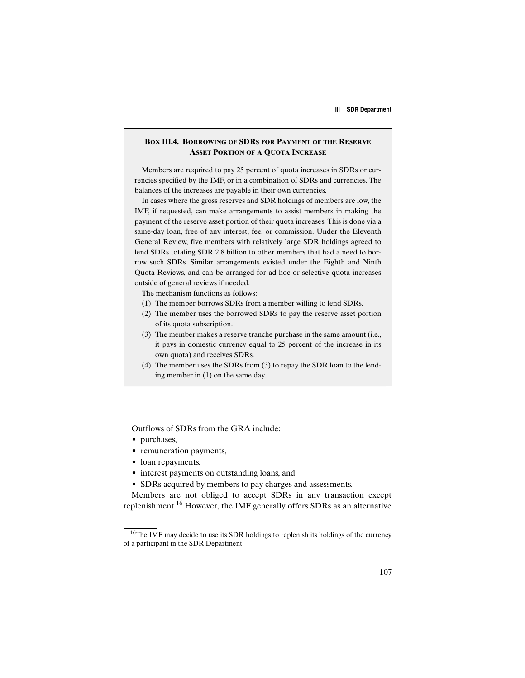# **BOX III.4. BORROWING OF SDRS FOR PAYMENT OF THE RESERVE ASSET PORTION OF A QUOTA INCREASE**

Members are required to pay 25 percent of quota increases in SDRs or currencies specified by the IMF, or in a combination of SDRs and currencies. The balances of the increases are payable in their own currencies.

In cases where the gross reserves and SDR holdings of members are low, the IMF, if requested, can make arrangements to assist members in making the payment of the reserve asset portion of their quota increases. This is done via a same-day loan, free of any interest, fee, or commission. Under the Eleventh General Review, five members with relatively large SDR holdings agreed to lend SDRs totaling SDR 2.8 billion to other members that had a need to borrow such SDRs. Similar arrangements existed under the Eighth and Ninth Quota Reviews, and can be arranged for ad hoc or selective quota increases outside of general reviews if needed.

The mechanism functions as follows:

- (1) The member borrows SDRs from a member willing to lend SDRs.
- (2) The member uses the borrowed SDRs to pay the reserve asset portion of its quota subscription.
- (3) The member makes a reserve tranche purchase in the same amount (i.e., it pays in domestic currency equal to 25 percent of the increase in its own quota) and receives SDRs.
- (4) The member uses the SDRs from (3) to repay the SDR loan to the lending member in (1) on the same day.

Outflows of SDRs from the GRA include:

- purchases,
- remuneration payments,
- loan repayments,
- interest payments on outstanding loans, and
- SDRs acquired by members to pay charges and assessments.

Members are not obliged to accept SDRs in any transaction except replenishment.16 However, the IMF generally offers SDRs as an alternative

 $16$ The IMF may decide to use its SDR holdings to replenish its holdings of the currency of a participant in the SDR Department.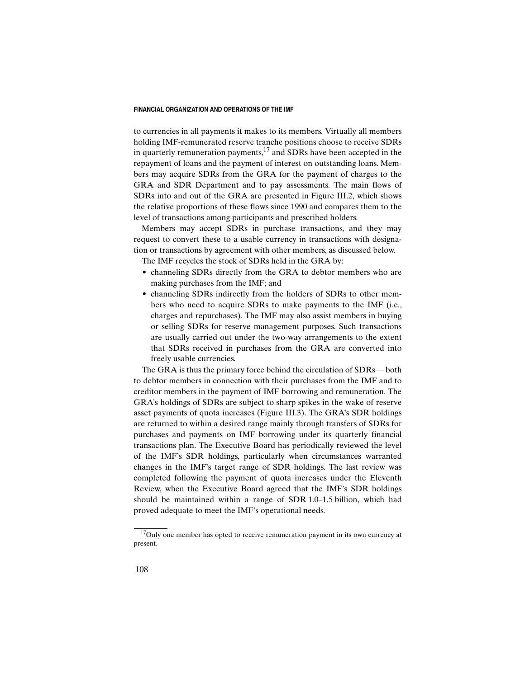to currencies in all payments it makes to its members. Virtually all members holding IMF-remunerated reserve tranche positions choose to receive SDRs in quarterly remuneration payments,  $^{17}$  and SDRs have been accepted in the repayment of loans and the payment of interest on outstanding loans. Members may acquire SDRs from the GRA for the payment of charges to the GRA and SDR Department and to pay assessments. The main flows of SDRs into and out of the GRA are presented in Figure III.2, which shows the relative proportions of these flows since 1990 and compares them to the level of transactions among participants and prescribed holders.

Members may accept SDRs in purchase transactions, and they may request to convert these to a usable currency in transactions with designation or transactions by agreement with other members, as discussed below.

The IMF recycles the stock of SDRs held in the GRA by:

- channeling SDRs directly from the GRA to debtor members who are making purchases from the IMF; and
- channeling SDRs indirectly from the holders of SDRs to other members who need to acquire SDRs to make payments to the IMF (i.e., charges and repurchases). The IMF may also assist members in buying or selling SDRs for reserve management purposes. Such transactions are usually carried out under the two-way arrangements to the extent that SDRs received in purchases from the GRA are converted into freely usable currencies.

The GRA is thus the primary force behind the circulation of SDRs—both to debtor members in connection with their purchases from the IMF and to creditor members in the payment of IMF borrowing and remuneration. The GRA's holdings of SDRs are subject to sharp spikes in the wake of reserve asset payments of quota increases (Figure III.3). The GRA's SDR holdings are returned to within a desired range mainly through transfers of SDRs for purchases and payments on IMF borrowing under its quarterly financial transactions plan. The Executive Board has periodically reviewed the level of the IMF's SDR holdings, particularly when circumstances warranted changes in the IMF's target range of SDR holdings. The last review was completed following the payment of quota increases under the Eleventh Review, when the Executive Board agreed that the IMF's SDR holdings should be maintained within a range of SDR 1.0–1.5 billion, which had proved adequate to meet the IMF's operational needs.

 $17$ Only one member has opted to receive remuneration payment in its own currency at present.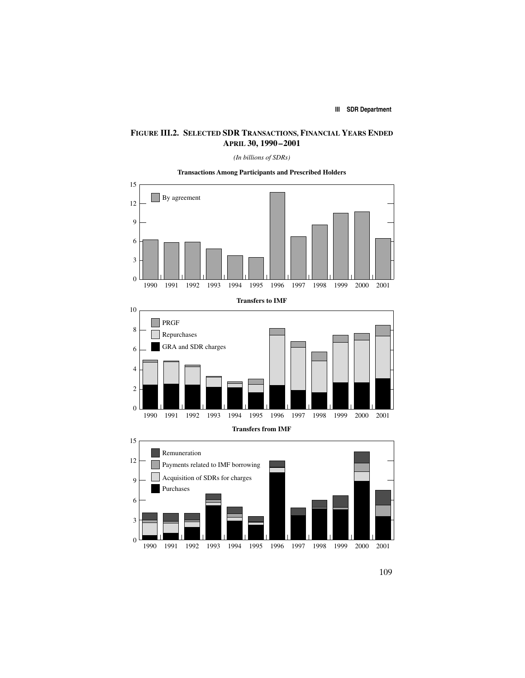# **FIGURE III.2. SELECTED SDR TRANSACTIONS, FINANCIAL YEARS ENDED APRIL 30, 1990–2001**



1990 1991 1992 1993 1994 1995 1996 1997 1998 1999 2000 2001

0

3

6

*(In billions of SDRs)*

**Transactions Among Participants and Prescribed Holders**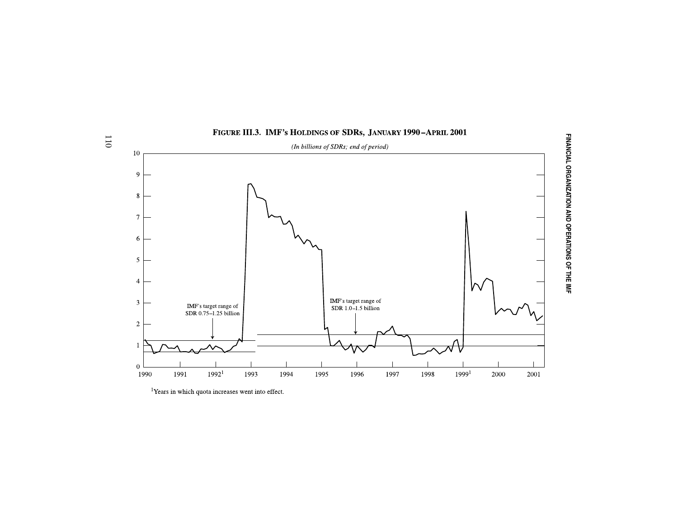

<sup>1</sup>Years in which quota increases went into effect.

110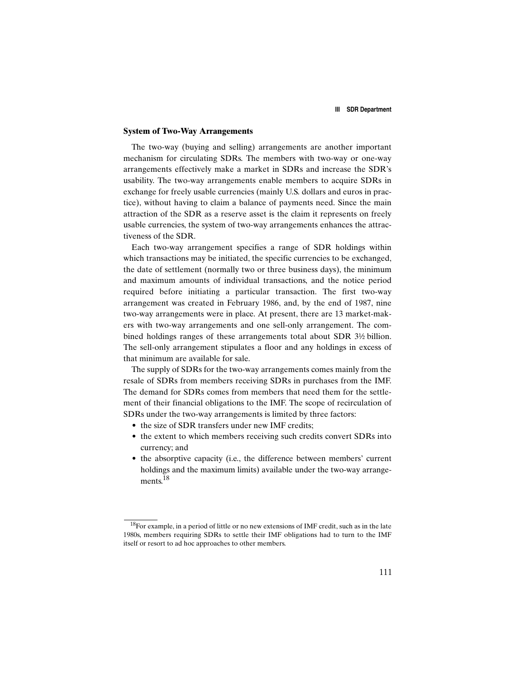#### **System of Two-Way Arrangements**

The two-way (buying and selling) arrangements are another important mechanism for circulating SDRs. The members with two-way or one-way arrangements effectively make a market in SDRs and increase the SDR's usability. The two-way arrangements enable members to acquire SDRs in exchange for freely usable currencies (mainly U.S. dollars and euros in practice), without having to claim a balance of payments need. Since the main attraction of the SDR as a reserve asset is the claim it represents on freely usable currencies, the system of two-way arrangements enhances the attractiveness of the SDR.

Each two-way arrangement specifies a range of SDR holdings within which transactions may be initiated, the specific currencies to be exchanged, the date of settlement (normally two or three business days), the minimum and maximum amounts of individual transactions, and the notice period required before initiating a particular transaction. The first two-way arrangement was created in February 1986, and, by the end of 1987, nine two-way arrangements were in place. At present, there are 13 market-makers with two-way arrangements and one sell-only arrangement. The combined holdings ranges of these arrangements total about SDR 3½ billion. The sell-only arrangement stipulates a floor and any holdings in excess of that minimum are available for sale.

The supply of SDRs for the two-way arrangements comes mainly from the resale of SDRs from members receiving SDRs in purchases from the IMF. The demand for SDRs comes from members that need them for the settlement of their financial obligations to the IMF. The scope of recirculation of SDRs under the two-way arrangements is limited by three factors:

- the size of SDR transfers under new IMF credits;
- the extent to which members receiving such credits convert SDRs into currency; and
- the absorptive capacity (i.e., the difference between members' current holdings and the maximum limits) available under the two-way arrangements $18$

 $18$ For example, in a period of little or no new extensions of IMF credit, such as in the late 1980s, members requiring SDRs to settle their IMF obligations had to turn to the IMF itself or resort to ad hoc approaches to other members.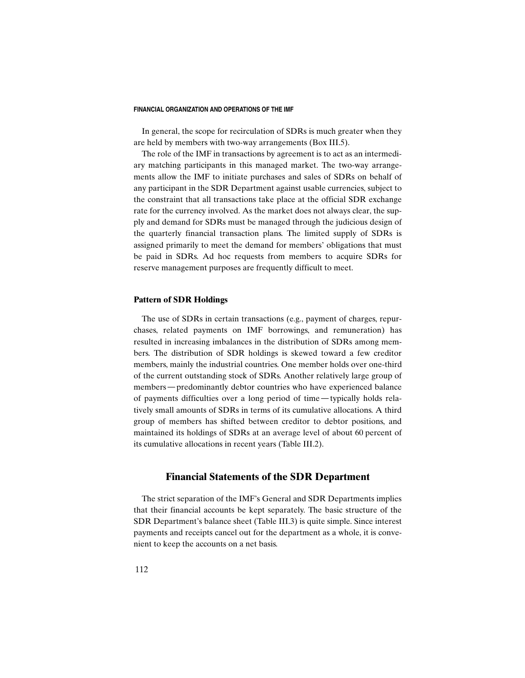In general, the scope for recirculation of SDRs is much greater when they are held by members with two-way arrangements (Box III.5).

The role of the IMF in transactions by agreement is to act as an intermediary matching participants in this managed market. The two-way arrangements allow the IMF to initiate purchases and sales of SDRs on behalf of any participant in the SDR Department against usable currencies, subject to the constraint that all transactions take place at the official SDR exchange rate for the currency involved. As the market does not always clear, the supply and demand for SDRs must be managed through the judicious design of the quarterly financial transaction plans. The limited supply of SDRs is assigned primarily to meet the demand for members' obligations that must be paid in SDRs. Ad hoc requests from members to acquire SDRs for reserve management purposes are frequently difficult to meet.

#### **Pattern of SDR Holdings**

The use of SDRs in certain transactions (e.g., payment of charges, repurchases, related payments on IMF borrowings, and remuneration) has resulted in increasing imbalances in the distribution of SDRs among members. The distribution of SDR holdings is skewed toward a few creditor members, mainly the industrial countries. One member holds over one-third of the current outstanding stock of SDRs. Another relatively large group of members—predominantly debtor countries who have experienced balance of payments difficulties over a long period of time—typically holds relatively small amounts of SDRs in terms of its cumulative allocations. A third group of members has shifted between creditor to debtor positions, and maintained its holdings of SDRs at an average level of about 60 percent of its cumulative allocations in recent years (Table III.2).

# **Financial Statements of the SDR Department**

The strict separation of the IMF's General and SDR Departments implies that their financial accounts be kept separately. The basic structure of the SDR Department's balance sheet (Table III.3) is quite simple. Since interest payments and receipts cancel out for the department as a whole, it is convenient to keep the accounts on a net basis.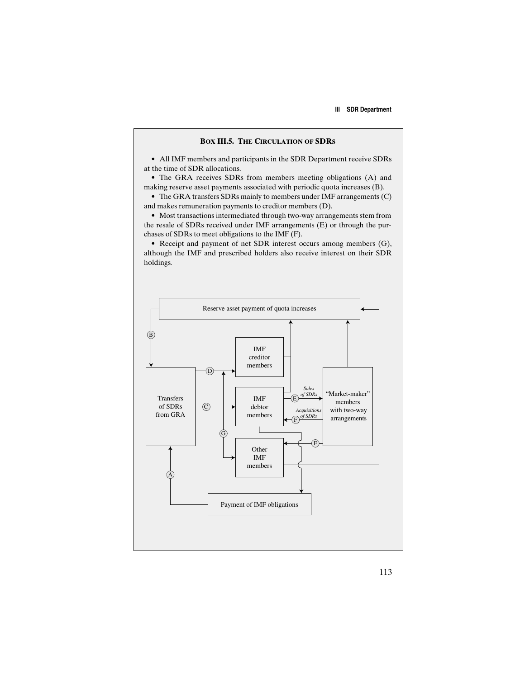#### **BOX III.5. THE CIRCULATION OF SDRS**

• All IMF members and participants in the SDR Department receive SDRs at the time of SDR allocations.

• The GRA receives SDRs from members meeting obligations (A) and making reserve asset payments associated with periodic quota increases (B).

• The GRA transfers SDRs mainly to members under IMF arrangements (C) and makes remuneration payments to creditor members (D).

• Most transactions intermediated through two-way arrangements stem from the resale of SDRs received under IMF arrangements (E) or through the purchases of SDRs to meet obligations to the IMF (F).

• Receipt and payment of net SDR interest occurs among members (G), although the IMF and prescribed holders also receive interest on their SDR holdings.

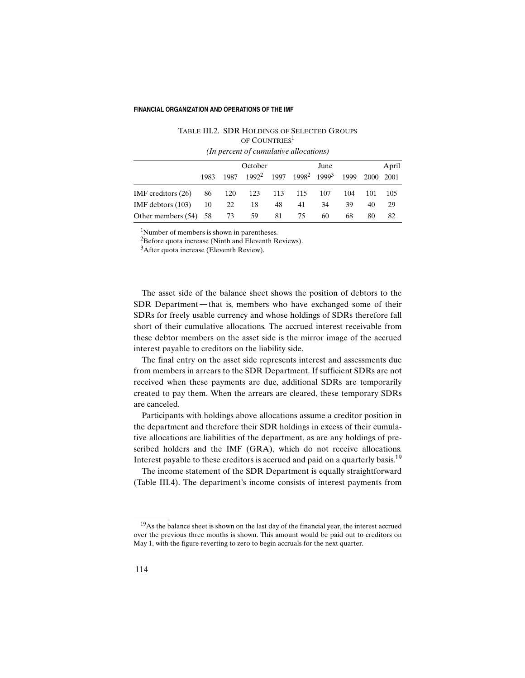| (In percent of cumulative allocations) |      |         |                                                            |     |     |      |      |           |       |
|----------------------------------------|------|---------|------------------------------------------------------------|-----|-----|------|------|-----------|-------|
|                                        |      | October |                                                            |     |     | June |      |           | April |
|                                        | 1983 | 1987    | 1992 <sup>2</sup> 1997 1998 <sup>2</sup> 1999 <sup>3</sup> |     |     |      | 1999 | 2000 2001 |       |
| IMF creditors $(26)$                   | 86   | 120     | 123                                                        | 113 | 115 | 107  | 104  | 101       | 105   |
| IMF debtors $(103)$                    | 10   | 22      | 18                                                         | 48  | 41  | 34   | 39   | 40        | 29    |
| Other members $(54)$ 58                |      | 73      | 59                                                         | 81  | 75  | 60   | 68   | 80        | 82    |

# TABLE III.2. SDR HOLDINGS OF SELECTED GROUPS OF COUNTRIES<sup>1</sup>

<sup>1</sup>Number of members is shown in parentheses.

<sup>2</sup>Before quota increase (Ninth and Eleventh Reviews).

<sup>3</sup>After quota increase (Eleventh Review).

The asset side of the balance sheet shows the position of debtors to the SDR Department—that is, members who have exchanged some of their SDRs for freely usable currency and whose holdings of SDRs therefore fall short of their cumulative allocations. The accrued interest receivable from these debtor members on the asset side is the mirror image of the accrued interest payable to creditors on the liability side.

The final entry on the asset side represents interest and assessments due from members in arrears to the SDR Department. If sufficient SDRs are not received when these payments are due, additional SDRs are temporarily created to pay them. When the arrears are cleared, these temporary SDRs are canceled.

Participants with holdings above allocations assume a creditor position in the department and therefore their SDR holdings in excess of their cumulative allocations are liabilities of the department, as are any holdings of prescribed holders and the IMF (GRA), which do not receive allocations. Interest payable to these creditors is accrued and paid on a quarterly basis.<sup>19</sup>

The income statement of the SDR Department is equally straightforward (Table III.4). The department's income consists of interest payments from

 $19$ As the balance sheet is shown on the last day of the financial year, the interest accrued over the previous three months is shown. This amount would be paid out to creditors on May 1, with the figure reverting to zero to begin accruals for the next quarter.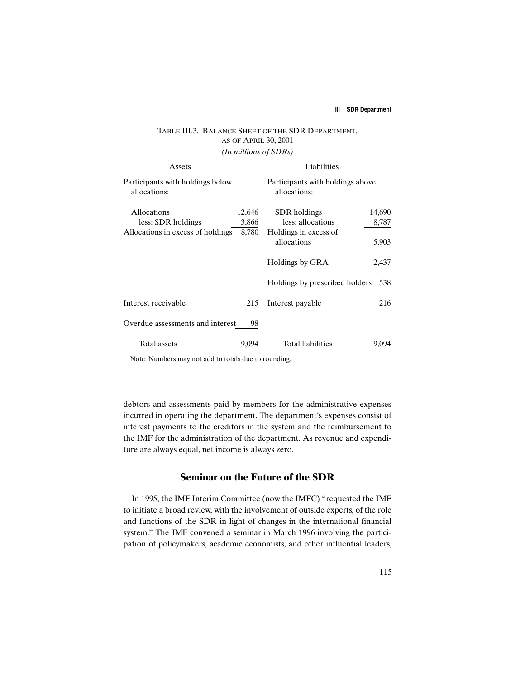|                                                                        |                          | $\mu$ $\mu$ $\mu$ $\mu$ $\mu$ $\sigma$ $\mu$ $\sigma$ $\sigma$                                                                 |                                          |  |
|------------------------------------------------------------------------|--------------------------|--------------------------------------------------------------------------------------------------------------------------------|------------------------------------------|--|
| Assets                                                                 | Liabilities              |                                                                                                                                |                                          |  |
| Participants with holdings below<br>allocations:                       |                          | Participants with holdings above<br>allocations:                                                                               |                                          |  |
| Allocations<br>less: SDR holdings<br>Allocations in excess of holdings | 12,646<br>3,866<br>8,780 | SDR holdings<br>less: allocations<br>Holdings in excess of<br>allocations<br>Holdings by GRA<br>Holdings by prescribed holders | 14,690<br>8,787<br>5,903<br>2,437<br>538 |  |
| Interest receivable                                                    | 215                      | Interest payable                                                                                                               | 216                                      |  |
| Overdue assessments and interest                                       | 98                       |                                                                                                                                |                                          |  |
| Total assets                                                           | 9,094                    | Total liabilities                                                                                                              | 9,094                                    |  |

#### TABLE III.3. BALANCE SHEET OF THE SDR DEPARTMENT, AS OF APRIL 30, 2001 *(In millions of SDRs)*

Note: Numbers may not add to totals due to rounding.

debtors and assessments paid by members for the administrative expenses incurred in operating the department. The department's expenses consist of interest payments to the creditors in the system and the reimbursement to the IMF for the administration of the department. As revenue and expenditure are always equal, net income is always zero.

# **Seminar on the Future of the SDR**

In 1995, the IMF Interim Committee (now the IMFC) "requested the IMF to initiate a broad review, with the involvement of outside experts, of the role and functions of the SDR in light of changes in the international financial system." The IMF convened a seminar in March 1996 involving the participation of policymakers, academic economists, and other influential leaders,